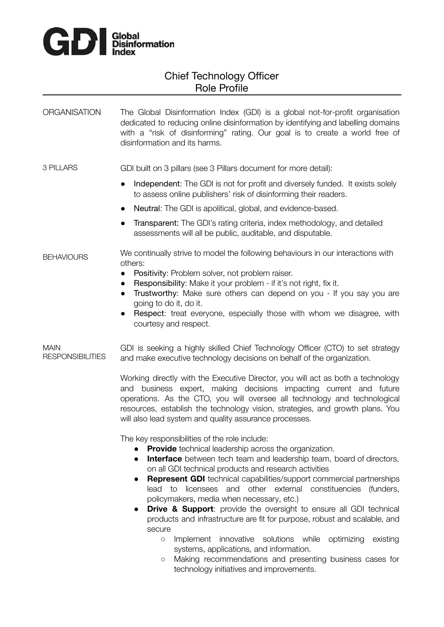

# Chief Technology Officer Role Profile

ORGANISATION The Global Disinformation Index (GDI) is a global not-for-profit organisation dedicated to reducing online disinformation by identifying and labelling domains with a "risk of disinforming" rating. Our goal is to create a world free of disinformation and its harms.

3 PILLARS GDI built on 3 pillars (see 3 Pillars document for more detail):

- Independent: The GDI is not for profit and diversely funded. It exists solely to assess online publishers' risk of disinforming their readers.
- Neutral: The GDI is apolitical, global, and evidence-based.
- Transparent: The GDI's rating criteria, index methodology, and detailed assessments will all be public, auditable, and disputable.

#### **BEHAVIOURS** We continually strive to model the following behaviours in our interactions with others:

- Positivity: Problem solver, not problem raiser.
- Responsibility: Make it your problem if it's not right, fix it.
- Trustworthy: Make sure others can depend on you If you say you are going to do it, do it.
- Respect: treat everyone, especially those with whom we disagree, with courtesy and respect.

MAIN RESPONSIBILITIES GDI is seeking a highly skilled Chief Technology Officer (CTO) to set strategy and make executive technology decisions on behalf of the organization.

> Working directly with the Executive Director, you will act as both a technology and business expert, making decisions impacting current and future operations. As the CTO, you will oversee all technology and technological resources, establish the technology vision, strategies, and growth plans. You will also lead system and quality assurance processes.

The key responsibilities of the role include:

- **Provide** technical leadership across the organization.
- **Interface** between tech team and leadership team, board of directors, on all GDI technical products and research activities
- **Represent GDI** technical capabilities/support commercial partnerships lead to licensees and other external constituencies (funders, policymakers, media when necessary, etc.)
- **Drive & Support**: provide the oversight to ensure all GDI technical products and infrastructure are fit for purpose, robust and scalable, and secure
	- Implement innovative solutions while optimizing existing systems, applications, and information.
	- Making recommendations and presenting business cases for technology initiatives and improvements.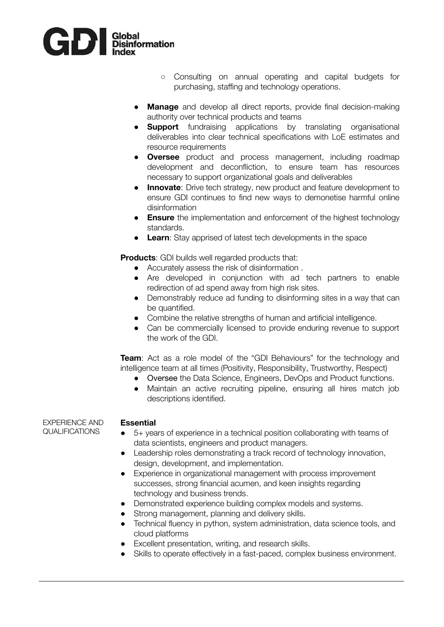

- Consulting on annual operating and capital budgets for purchasing, staffing and technology operations.
- **Manage** and develop all direct reports, provide final decision-making authority over technical products and teams
- **Support** fundraising applications by translating organisational deliverables into clear technical specifications with LoE estimates and resource requirements
- **Oversee** product and process management, including roadmap development and deconfliction, to ensure team has resources necessary to support organizational goals and deliverables
- **Innovate:** Drive tech strategy, new product and feature development to ensure GDI continues to find new ways to demonetise harmful online disinformation
- **Ensure** the implementation and enforcement of the highest technology standards.
- **Learn**: Stay apprised of latest tech developments in the space

**Products:** GDI builds well regarded products that:

- Accurately assess the risk of disinformation .
- Are developed in conjunction with ad tech partners to enable redirection of ad spend away from high risk sites.
- Demonstrably reduce ad funding to disinforming sites in a way that can be quantified.
- Combine the relative strengths of human and artificial intelligence.
- Can be commercially licensed to provide enduring revenue to support the work of the GDI.

**Team**: Act as a role model of the "GDI Behaviours" for the technology and intelligence team at all times (Positivity, Responsibility, Trustworthy, Respect)

- Oversee the Data Science, Engineers, DevOps and Product functions.
- Maintain an active recruiting pipeline, ensuring all hires match job descriptions identified.

### EXPERIENCE AND QUALIFICATIONS

## **Essential**

- 5+ years of experience in a technical position collaborating with teams of data scientists, engineers and product managers.
- Leadership roles demonstrating a track record of technology innovation, design, development, and implementation.
- Experience in organizational management with process improvement successes, strong financial acumen, and keen insights regarding technology and business trends.
- Demonstrated experience building complex models and systems.
- Strong management, planning and delivery skills.
- Technical fluency in python, system administration, data science tools, and cloud platforms
- Excellent presentation, writing, and research skills.
- Skills to operate effectively in a fast-paced, complex business environment.